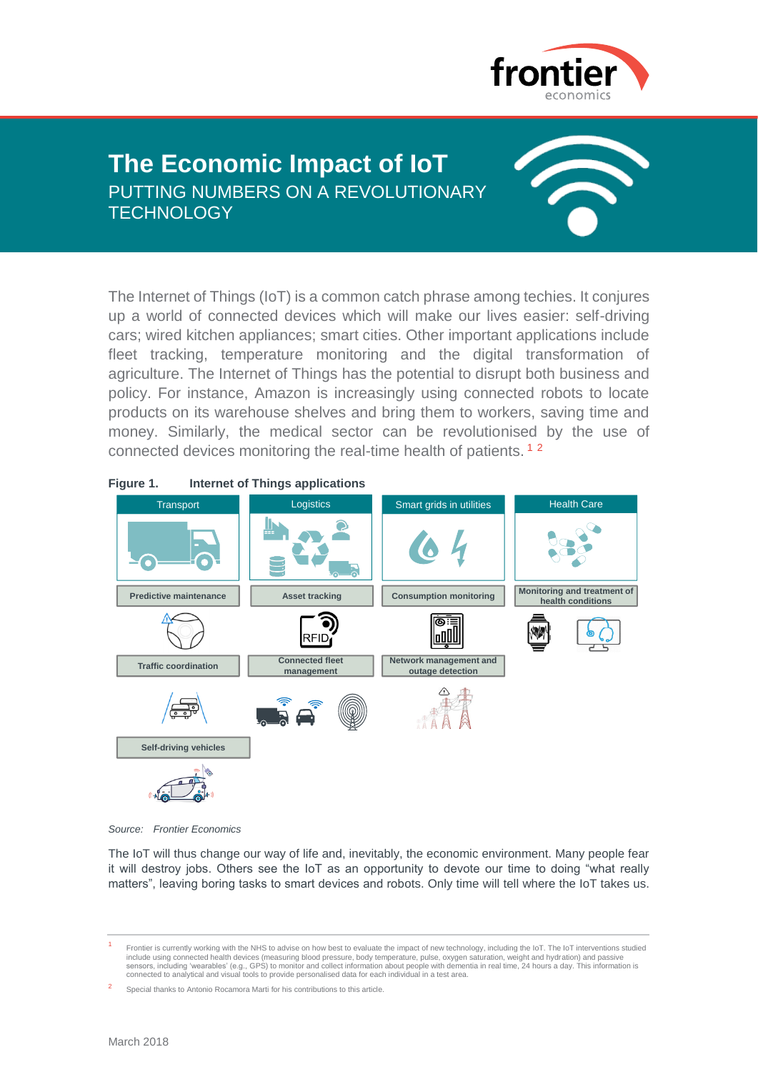

# **The Economic Impact of IoT** PUTTING NUMBERS ON A REVOLUTIONARY **TECHNOLOGY**



The Internet of Things (IoT) is a common catch phrase among techies. It conjures up a world of connected devices which will make our lives easier: self-driving cars; wired kitchen appliances; smart cities. Other important applications include fleet tracking, temperature monitoring and the digital transformation of agriculture. The Internet of Things has the potential to disrupt both business and policy. For instance, Amazon is increasingly using connected robots to locate products on its warehouse shelves and bring them to workers, saving time and money. Similarly, the medical sector can be revolutionised by the use of connected devices monitoring the real-time health of patients. <sup>1</sup> <sup>2</sup>



*Source: Frontier Economics*

The IoT will thus change our way of life and, inevitably, the economic environment. Many people fear it will destroy jobs. Others see the IoT as an opportunity to devote our time to doing "what really matters", leaving boring tasks to smart devices and robots. Only time will tell where the IoT takes us.

<sup>1</sup> Frontier is currently working with the NHS to advise on how best to evaluate the impact of new technology, including the IoT. The IoT interventions studied include using connected health devices (measuring blood pressure, body temperature, pulse, oxygen saturation, weight and hydration) and passive<br>sensors, including 'wearables' (e.g., GPS) to monitor and collect information

<sup>2</sup> Special thanks to Antonio Rocamora Marti for his contributions to this article.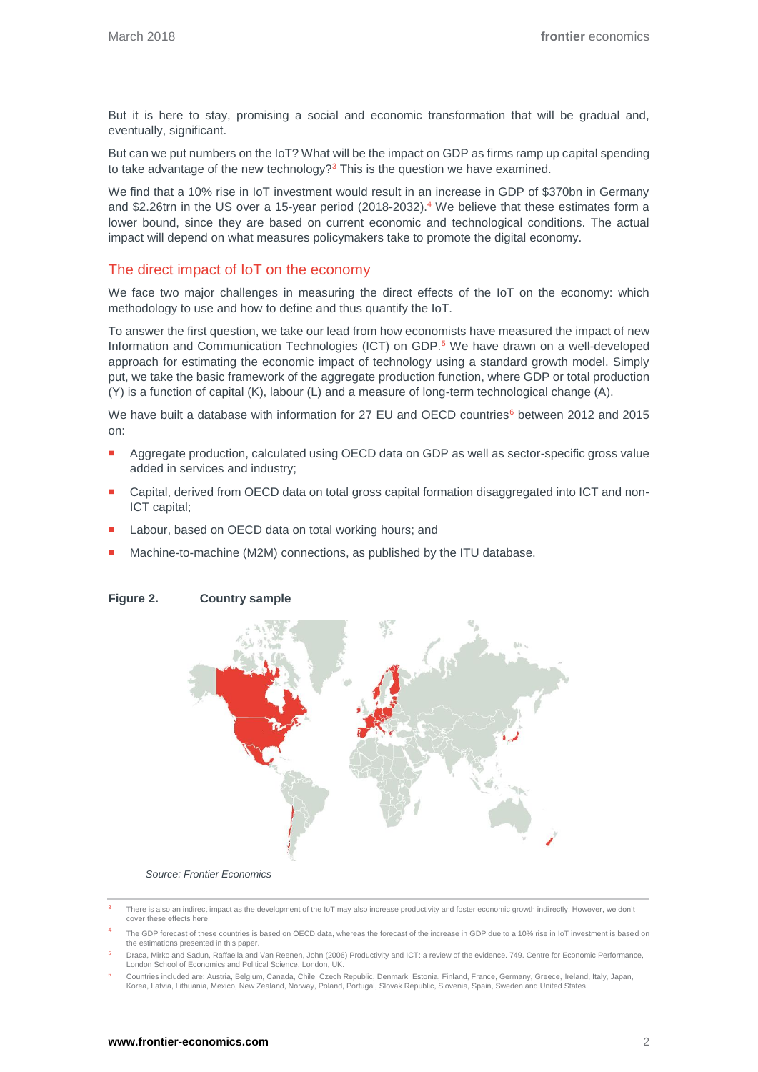But it is here to stay, promising a social and economic transformation that will be gradual and, eventually, significant.

But can we put numbers on the IoT? What will be the impact on GDP as firms ramp up capital spending to take advantage of the new technology? $3$  This is the question we have examined.

We find that a 10% rise in IoT investment would result in an increase in GDP of \$370bn in Germany and \$2.26trn in the US over a 15-year period (2018-2032).<sup>4</sup> We believe that these estimates form a lower bound, since they are based on current economic and technological conditions. The actual impact will depend on what measures policymakers take to promote the digital economy.

## The direct impact of IoT on the economy

We face two major challenges in measuring the direct effects of the IoT on the economy: which methodology to use and how to define and thus quantify the IoT.

To answer the first question, we take our lead from how economists have measured the impact of new Information and Communication Technologies (ICT) on GDP.<sup>5</sup> We have drawn on a well-developed approach for estimating the economic impact of technology using a standard growth model. Simply put, we take the basic framework of the aggregate production function, where GDP or total production (Y) is a function of capital (K), labour (L) and a measure of long-term technological change (A).

We have built a database with information for 27 EU and OECD countries<sup>6</sup> between 2012 and 2015 on:

- Aggregate production, calculated using OECD data on GDP as well as sector-specific gross value added in services and industry;
- **Capital, derived from OECD data on total gross capital formation disaggregated into ICT and non-**ICT capital;
- Labour, based on OECD data on total working hours; and
- Machine-to-machine (M2M) connections, as published by the ITU database.



### **Figure 2. Country sample**

*Source: Frontier Economics*

- 4 The GDP forecast of these countries is based on OECD data, whereas the forecast of the increase in GDP due to a 10% rise in IoT investment is based on the estimations presented in this paper.
- <sup>5</sup> Draca, Mirko and Sadun, Raffaella and Van Reenen, John (2006) Productivity and ICT: a review of the evidence. 749. Centre for Economic Performance, London School of Economics and Political Science, London, UK.
- <sup>6</sup> Countries included are: Austria, Belgium, Canada, Chile, Czech Republic, Denmark, Estonia, Finland, France, Germany, Greece, Ireland, Italy, Japan, Korea, Latvia, Lithuania, Mexico, New Zealand, Norway, Poland, Portugal, Slovak Republic, Slovenia, Spain, Sweden and United States.

There is also an indirect impact as the development of the IoT may also increase productivity and foster economic growth indirectly. However, we don't cover these effects here.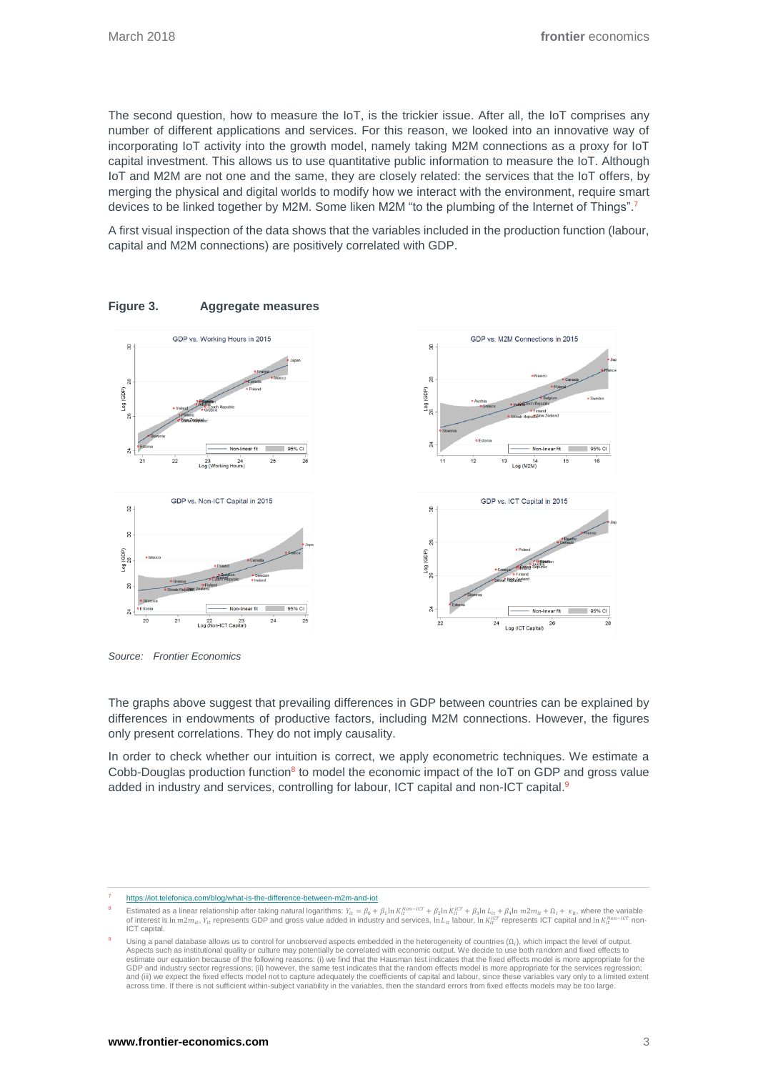The second question, how to measure the IoT, is the trickier issue. After all, the IoT comprises any number of different applications and services. For this reason, we looked into an innovative way of incorporating IoT activity into the growth model, namely taking M2M connections as a proxy for IoT capital investment. This allows us to use quantitative public information to measure the IoT. Although IoT and M2M are not one and the same, they are closely related: the services that the IoT offers, by merging the physical and digital worlds to modify how we interact with the environment, require smart devices to be linked together by M2M. Some liken M2M "to the plumbing of the Internet of Things".<sup>7</sup>

<span id="page-2-0"></span>A first visual inspection of the data shows that the variables included in the production function (labour, capital and M2M connections) are positively correlated with GDP.



**Figure 3. Aggregate measures**

*Source: Frontier Economics*

The graphs above suggest that prevailing differences in GDP between countries can be explained by differences in endowments of productive factors, including M2M connections. However, the figures only present correlations. They do not imply causality.

In order to check whether our intuition is correct, we apply econometric techniques. We estimate a Cobb-Douglas production function<sup>8</sup> to model the economic impact of the  $I$ oT on GDP and gross value added in industry and services, controlling for labour, ICT capital and non-ICT capital.<sup>9</sup>

<sup>7</sup> <https://iot.telefonica.com/blog/what-is-the-difference-between-m2m-and-iot>

<sup>&</sup>lt;sup>8</sup> Estimated as a linear relationship after taking natural logarithms:  $Y_{lt} = \beta_0 + \beta_1 \ln K_t^{hor-ict} + \beta_2 \ln K_t^{ter} + \beta_3 \ln L_{lt} + \beta_4 \ln m 2 m_{lt} + \Omega_t + \varepsilon_t$ , where the variable of interest is  $\ln m 2 m_{lt}$ ,  $Y_{lt}$  represents GDP and gr ICT capital.

<sup>&</sup>lt;sup>9</sup> Using a panel database allows us to control for unobserved aspects embedded in the heterogeneity of countries  $(\Omega_i)$ , which impact the level of output. Aspects such as institutional quality or culture may potentially be correlated with economic output. We decide to use both random and fixed effects to estimate our equation because of the following reasons: (i) we find that the Hausman test indicates that the fixed effects model is more appropriate for the<br>GDP and industry sector regressions; (ii) however, the same test across time. If there is not sufficient within-subject variability in the variables, then the standard errors from fixed effects models may be too large.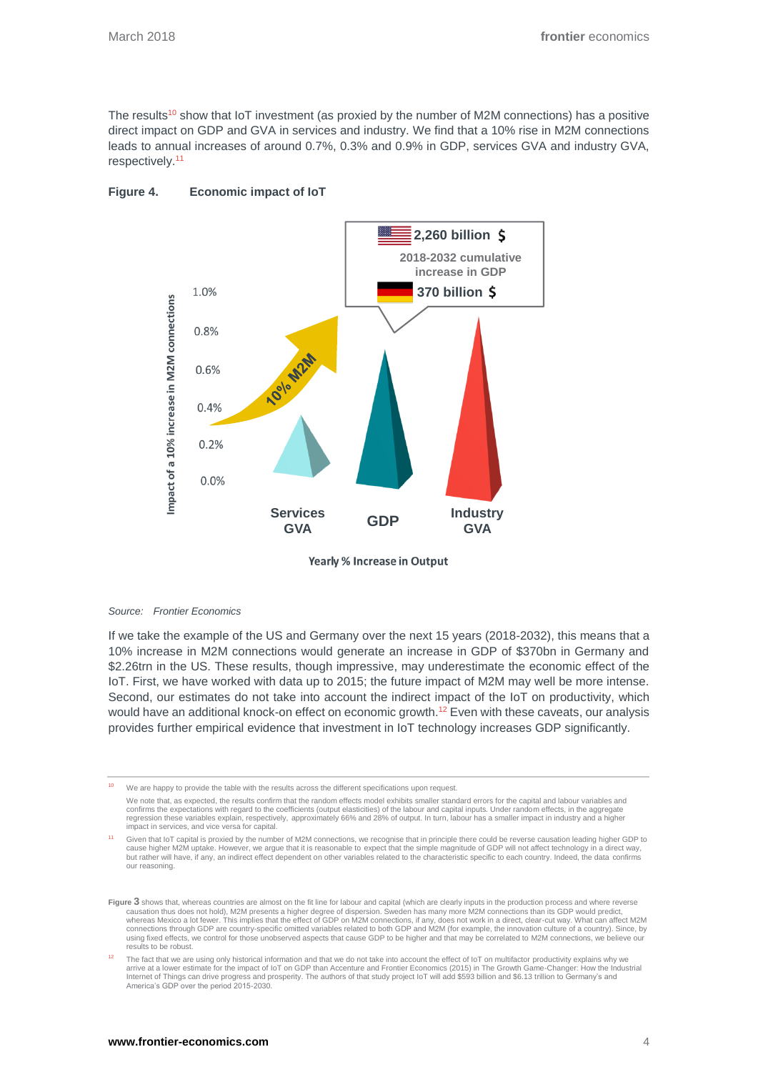The results<sup>10</sup> show that IoT investment (as proxied by the number of M2M connections) has a positive direct impact on GDP and GVA in services and industry. We find that a 10% rise in M2M connections leads to annual increases of around 0.7%, 0.3% and 0.9% in GDP, services GVA and industry GVA, respectively.<sup>11</sup>



## **Figure 4. Economic impact of IoT**

Yearly % Increase in Output

#### *Source: Frontier Economics*

If we take the example of the US and Germany over the next 15 years (2018-2032), this means that a 10% increase in M2M connections would generate an increase in GDP of \$370bn in Germany and \$2.26trn in the US. These results, though impressive, may underestimate the economic effect of the IoT. First, we have worked with data up to 2015; the future impact of M2M may well be more intense. Second, our estimates do not take into account the indirect impact of the IoT on productivity, which would have an additional knock-on effect on economic growth.<sup>12</sup> Even with these caveats, our analysis provides further empirical evidence that investment in IoT technology increases GDP significantly.

<sup>10</sup> We are happy to provide the table with the results across the different specifications upon request.

<sup>11</sup> Given that IoT capital is proxied by the number of M2M connections, we recognise that in principle there could be reverse causation leading higher GDP to cause higher M2M uptake. However, we argue that it is reasonable to expect that the simple magnitude of GDP will not affect technology in a direct way,<br>but rather will have, if any, an indirect effect dependent on other va our reasoning[.](#page-2-0) 

We note that, as expected, the results confirm that the random effects model exhibits smaller standard errors for the capital and labour variables and confirms the expectations with regard to the coefficients (output elasticities) of the labour and capital inputs. Under random effects, in the aggregate<br>regression these variables explain, respectively, approximately 66% a impact in services, and vice versa for capital.

**[Figure](#page-2-0) 3** shows that, whereas countries are almost on the fit line for labour and capital (which are clearly inputs in the production process and where reverse causation thus does not hold), M2M presents a higher degree of dispersion. Sweden has many more M2M connections than its GDP would predict,<br>whereas Mexico a lot fewer. This implies that the effect of GDP on M2M connections using fixed effects, we control for those unobserved aspects that cause GDP to be higher and that may be correlated to M2M connections, we believe our results to be robust.

The fact that we are using only historical information and that we do not take into account the effect of loT on multifactor productivity explains why we<br>arrive at a lower estimate for the impact of loT on GDP than Accentu America's GDP over the period 2015-2030.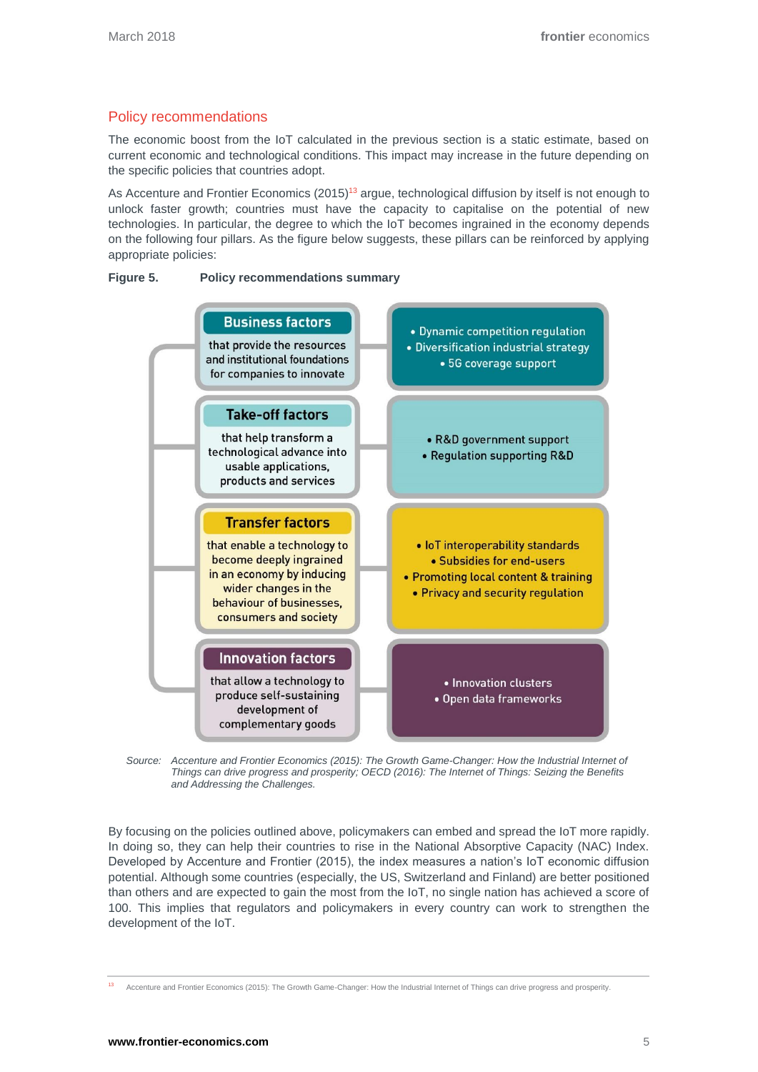# Policy recommendations

The economic boost from the IoT calculated in the previous section is a static estimate, based on current economic and technological conditions. This impact may increase in the future depending on the specific policies that countries adopt.

As Accenture and Frontier Economics (2015)<sup>13</sup> argue, technological diffusion by itself is not enough to unlock faster growth; countries must have the capacity to capitalise on the potential of new technologies. In particular, the degree to which the IoT becomes ingrained in the economy depends on the following four pillars. As the figure below suggests, these pillars can be reinforced by applying appropriate policies:







By focusing on the policies outlined above, policymakers can embed and spread the IoT more rapidly. In doing so, they can help their countries to rise in the National Absorptive Capacity (NAC) Index. Developed by Accenture and Frontier (2015), the index measures a nation's IoT economic diffusion potential. Although some countries (especially, the US, Switzerland and Finland) are better positioned than others and are expected to gain the most from the IoT, no single nation has achieved a score of 100. This implies that regulators and policymakers in every country can work to strengthen the development of the IoT.

<sup>13</sup> Accenture and Frontier Economics (2015): The Growth Game-Changer: How the Industrial Internet of Things can drive progress and prosperity.